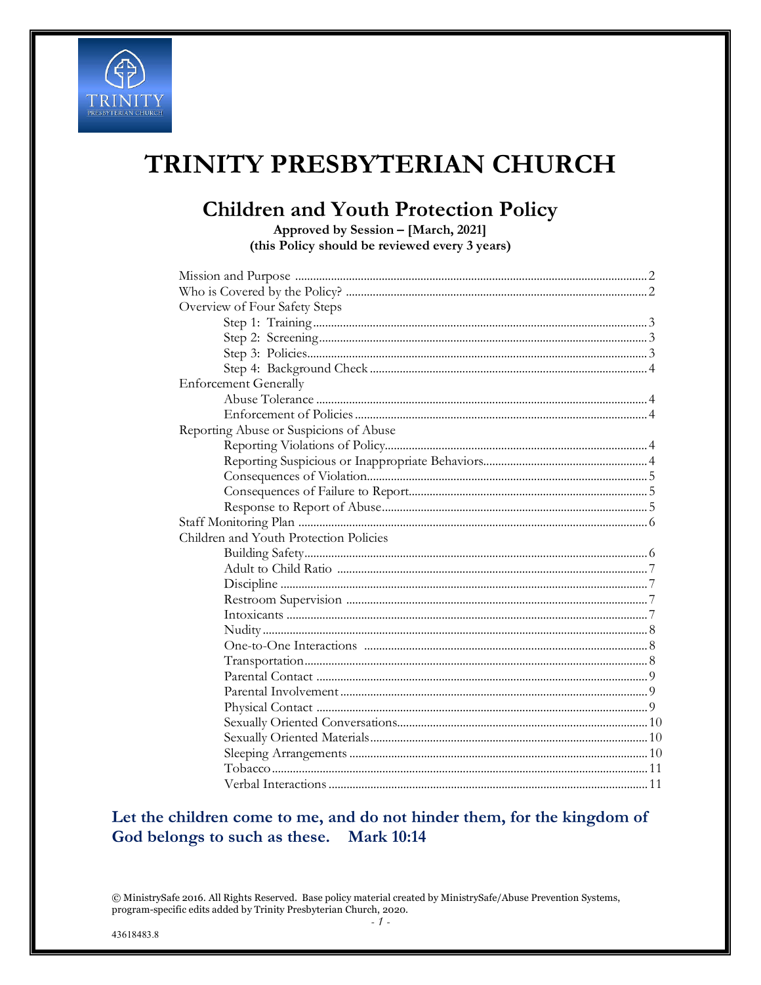

# TRINITY PRESBYTERIAN CHURCH

### **Children and Youth Protection Policy**

Approved by Session - [March, 2021] (this Policy should be reviewed every 3 years)

| Overview of Four Safety Steps          |  |
|----------------------------------------|--|
|                                        |  |
|                                        |  |
|                                        |  |
|                                        |  |
| <b>Enforcement Generally</b>           |  |
|                                        |  |
|                                        |  |
| Reporting Abuse or Suspicions of Abuse |  |
|                                        |  |
|                                        |  |
|                                        |  |
|                                        |  |
|                                        |  |
|                                        |  |
| Children and Youth Protection Policies |  |
|                                        |  |
|                                        |  |
|                                        |  |
|                                        |  |
|                                        |  |
|                                        |  |
|                                        |  |
|                                        |  |
|                                        |  |
|                                        |  |
|                                        |  |
|                                        |  |
|                                        |  |
|                                        |  |
|                                        |  |
|                                        |  |

### Let the children come to me, and do not hinder them, for the kingdom of God belongs to such as these. Mark 10:14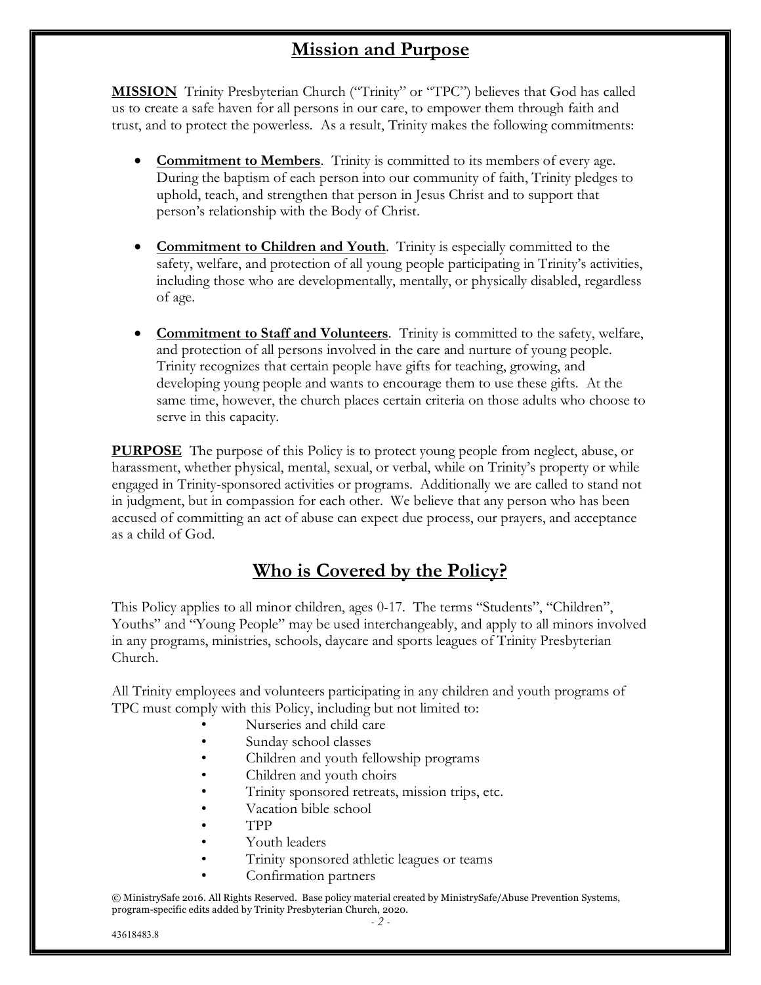# **Mission and Purpose**

**MISSION** Trinity Presbyterian Church ("Trinity" or "TPC") believes that God has called us to create a safe haven for all persons in our care, to empower them through faith and trust, and to protect the powerless. As a result, Trinity makes the following commitments:

- **Commitment to Members**. Trinity is committed to its members of every age. During the baptism of each person into our community of faith, Trinity pledges to uphold, teach, and strengthen that person in Jesus Christ and to support that person's relationship with the Body of Christ.
- **Commitment to Children and Youth**. Trinity is especially committed to the safety, welfare, and protection of all young people participating in Trinity's activities, including those who are developmentally, mentally, or physically disabled, regardless of age.
- **Commitment to Staff and Volunteers**. Trinity is committed to the safety, welfare, and protection of all persons involved in the care and nurture of young people. Trinity recognizes that certain people have gifts for teaching, growing, and developing young people and wants to encourage them to use these gifts. At the same time, however, the church places certain criteria on those adults who choose to serve in this capacity.

**PURPOSE** The purpose of this Policy is to protect young people from neglect, abuse, or harassment, whether physical, mental, sexual, or verbal, while on Trinity's property or while engaged in Trinity-sponsored activities or programs. Additionally we are called to stand not in judgment, but in compassion for each other. We believe that any person who has been accused of committing an act of abuse can expect due process, our prayers, and acceptance as a child of God.

# **Who is Covered by the Policy?**

This Policy applies to all minor children, ages 0-17. The terms "Students", "Children", Youths" and "Young People" may be used interchangeably, and apply to all minors involved in any programs, ministries, schools, daycare and sports leagues of Trinity Presbyterian Church.

All Trinity employees and volunteers participating in any children and youth programs of TPC must comply with this Policy, including but not limited to:

- Nurseries and child care
- Sunday school classes
- Children and youth fellowship programs
- Children and youth choirs
- Trinity sponsored retreats, mission trips, etc.
- Vacation bible school
- TPP
- Youth leaders
- Trinity sponsored athletic leagues or teams
- Confirmation partners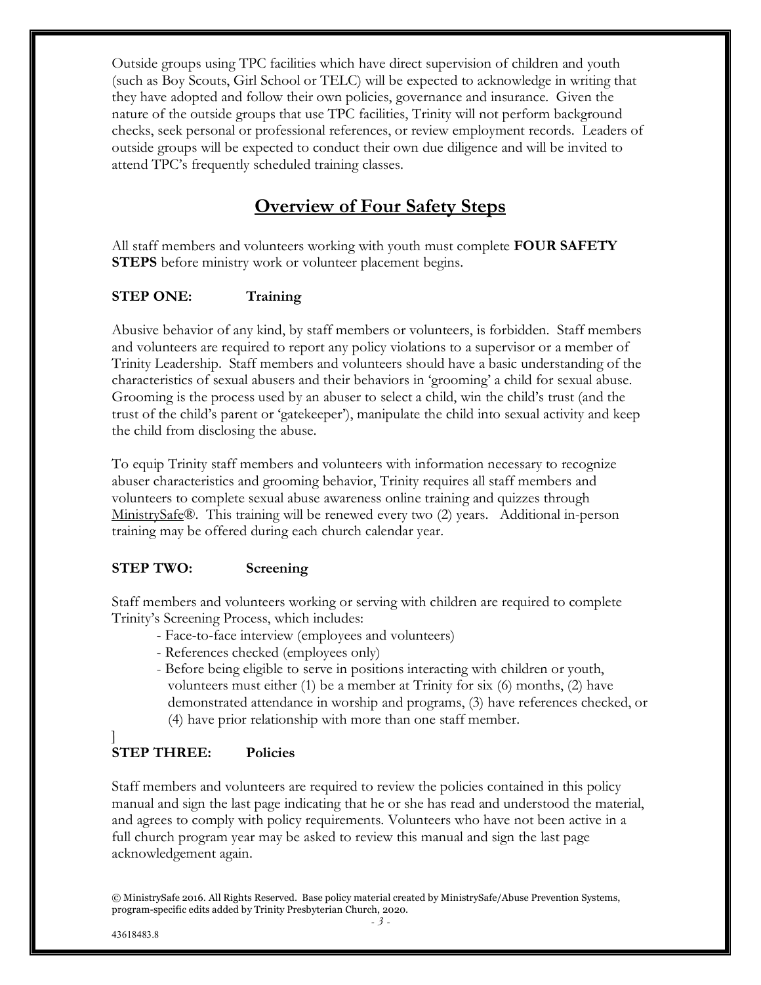Outside groups using TPC facilities which have direct supervision of children and youth (such as Boy Scouts, Girl School or TELC) will be expected to acknowledge in writing that they have adopted and follow their own policies, governance and insurance. Given the nature of the outside groups that use TPC facilities, Trinity will not perform background checks, seek personal or professional references, or review employment records. Leaders of outside groups will be expected to conduct their own due diligence and will be invited to attend TPC's frequently scheduled training classes.

### **Overview of Four Safety Steps**

All staff members and volunteers working with youth must complete **FOUR SAFETY STEPS** before ministry work or volunteer placement begins.

#### **STEP ONE: Training**

Abusive behavior of any kind, by staff members or volunteers, is forbidden. Staff members and volunteers are required to report any policy violations to a supervisor or a member of Trinity Leadership. Staff members and volunteers should have a basic understanding of the characteristics of sexual abusers and their behaviors in 'grooming' a child for sexual abuse. Grooming is the process used by an abuser to select a child, win the child's trust (and the trust of the child's parent or 'gatekeeper'), manipulate the child into sexual activity and keep the child from disclosing the abuse.

To equip Trinity staff members and volunteers with information necessary to recognize abuser characteristics and grooming behavior, Trinity requires all staff members and volunteers to complete sexual abuse awareness online training and quizzes through MinistrySafe®. This training will be renewed every two (2) years. Additional in-person training may be offered during each church calendar year.

#### **STEP TWO: Screening**

Staff members and volunteers working or serving with children are required to complete Trinity's Screening Process, which includes:

- Face-to-face interview (employees and volunteers)
- References checked (employees only)
- Before being eligible to serve in positions interacting with children or youth, volunteers must either (1) be a member at Trinity for six (6) months, (2) have demonstrated attendance in worship and programs, (3) have references checked, or (4) have prior relationship with more than one staff member.

#### $\overline{\phantom{a}}$ **STEP THREE: Policies**

Staff members and volunteers are required to review the policies contained in this policy manual and sign the last page indicating that he or she has read and understood the material, and agrees to comply with policy requirements. Volunteers who have not been active in a full church program year may be asked to review this manual and sign the last page acknowledgement again.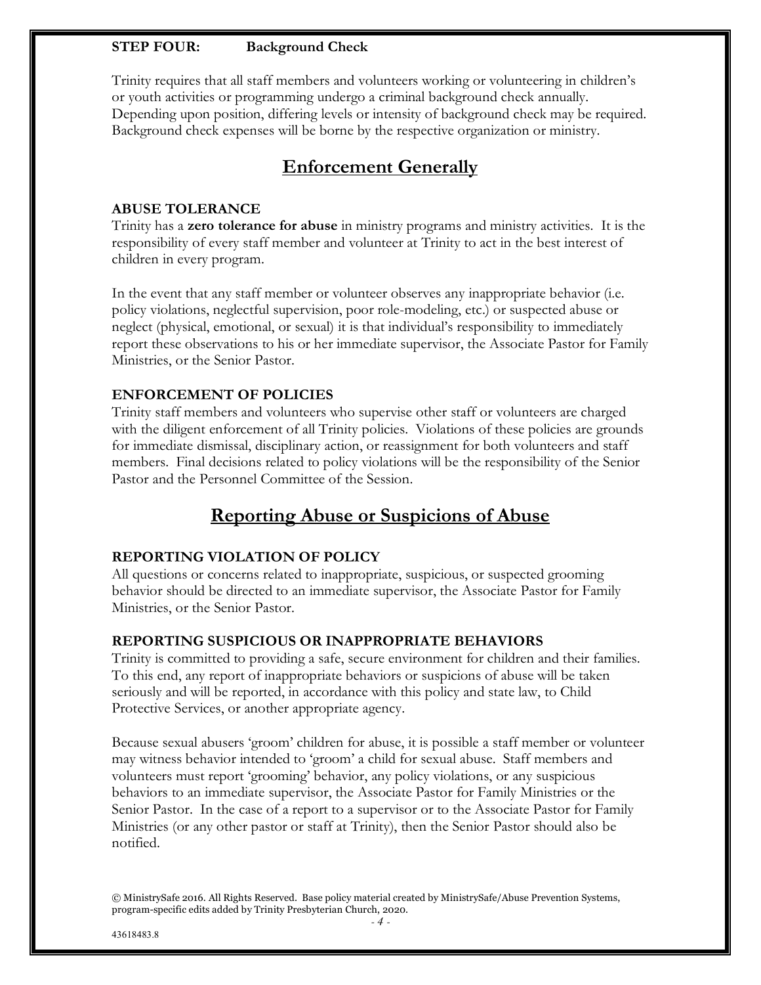#### **STEP FOUR: Background Check**

Trinity requires that all staff members and volunteers working or volunteering in children's or youth activities or programming undergo a criminal background check annually. Depending upon position, differing levels or intensity of background check may be required. Background check expenses will be borne by the respective organization or ministry.

### **Enforcement Generally**

#### **ABUSE TOLERANCE**

Trinity has a **zero tolerance for abuse** in ministry programs and ministry activities. It is the responsibility of every staff member and volunteer at Trinity to act in the best interest of children in every program.

In the event that any staff member or volunteer observes any inappropriate behavior (i.e. policy violations, neglectful supervision, poor role-modeling, etc.) or suspected abuse or neglect (physical, emotional, or sexual) it is that individual's responsibility to immediately report these observations to his or her immediate supervisor, the Associate Pastor for Family Ministries, or the Senior Pastor.

#### **ENFORCEMENT OF POLICIES**

Trinity staff members and volunteers who supervise other staff or volunteers are charged with the diligent enforcement of all Trinity policies. Violations of these policies are grounds for immediate dismissal, disciplinary action, or reassignment for both volunteers and staff members. Final decisions related to policy violations will be the responsibility of the Senior Pastor and the Personnel Committee of the Session.

### **Reporting Abuse or Suspicions of Abuse**

#### **REPORTING VIOLATION OF POLICY**

All questions or concerns related to inappropriate, suspicious, or suspected grooming behavior should be directed to an immediate supervisor, the Associate Pastor for Family Ministries, or the Senior Pastor.

#### **REPORTING SUSPICIOUS OR INAPPROPRIATE BEHAVIORS**

Trinity is committed to providing a safe, secure environment for children and their families. To this end, any report of inappropriate behaviors or suspicions of abuse will be taken seriously and will be reported, in accordance with this policy and state law, to Child Protective Services, or another appropriate agency.

Because sexual abusers 'groom' children for abuse, it is possible a staff member or volunteer may witness behavior intended to 'groom' a child for sexual abuse. Staff members and volunteers must report 'grooming' behavior, any policy violations, or any suspicious behaviors to an immediate supervisor, the Associate Pastor for Family Ministries or the Senior Pastor. In the case of a report to a supervisor or to the Associate Pastor for Family Ministries (or any other pastor or staff at Trinity), then the Senior Pastor should also be notified.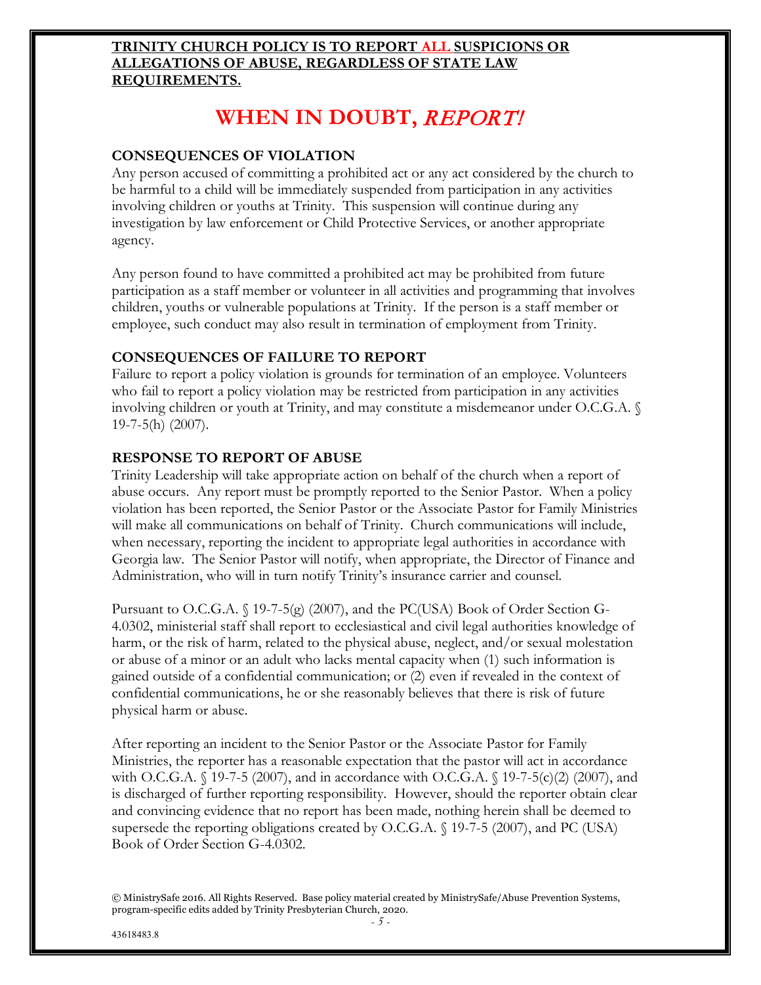#### **TRINITY CHURCH POLICY IS TO REPORT ALL SUSPICIONS OR ALLEGATIONS OF ABUSE, REGARDLESS OF STATE LAW REQUIREMENTS.**

# **WHEN IN DOUBT,** REPORT!

#### **CONSEQUENCES OF VIOLATION**

Any person accused of committing a prohibited act or any act considered by the church to be harmful to a child will be immediately suspended from participation in any activities involving children or youths at Trinity. This suspension will continue during any investigation by law enforcement or Child Protective Services, or another appropriate agency.

Any person found to have committed a prohibited act may be prohibited from future participation as a staff member or volunteer in all activities and programming that involves children, youths or vulnerable populations at Trinity. If the person is a staff member or employee, such conduct may also result in termination of employment from Trinity.

#### **CONSEQUENCES OF FAILURE TO REPORT**

Failure to report a policy violation is grounds for termination of an employee. Volunteers who fail to report a policy violation may be restricted from participation in any activities involving children or youth at Trinity, and may constitute a misdemeanor under O.C.G.A. § 19-7-5(h) (2007).

#### **RESPONSE TO REPORT OF ABUSE**

Trinity Leadership will take appropriate action on behalf of the church when a report of abuse occurs. Any report must be promptly reported to the Senior Pastor. When a policy violation has been reported, the Senior Pastor or the Associate Pastor for Family Ministries will make all communications on behalf of Trinity. Church communications will include, when necessary, reporting the incident to appropriate legal authorities in accordance with Georgia law. The Senior Pastor will notify, when appropriate, the Director of Finance and Administration, who will in turn notify Trinity's insurance carrier and counsel.

Pursuant to O.C.G.A.  $\binom{5}{19-7-5(g)}$  (2007), and the PC(USA) Book of Order Section G-4.0302, ministerial staff shall report to ecclesiastical and civil legal authorities knowledge of harm, or the risk of harm, related to the physical abuse, neglect, and/or sexual molestation or abuse of a minor or an adult who lacks mental capacity when (1) such information is gained outside of a confidential communication; or (2) even if revealed in the context of confidential communications, he or she reasonably believes that there is risk of future physical harm or abuse.

After reporting an incident to the Senior Pastor or the Associate Pastor for Family Ministries, the reporter has a reasonable expectation that the pastor will act in accordance with O.C.G.A.  $\{19-7-5(2007),\}$  and in accordance with O.C.G.A.  $\{19-7-5(c)(2)(2007),\}$  and is discharged of further reporting responsibility. However, should the reporter obtain clear and convincing evidence that no report has been made, nothing herein shall be deemed to supersede the reporting obligations created by O.C.G.A. § 19-7-5 (2007), and PC (USA) Book of Order Section G-4.0302.

<sup>©</sup> MinistrySafe 2016. All Rights Reserved. Base policy material created by MinistrySafe/Abuse Prevention Systems, program-specific edits added by Trinity Presbyterian Church, 2020.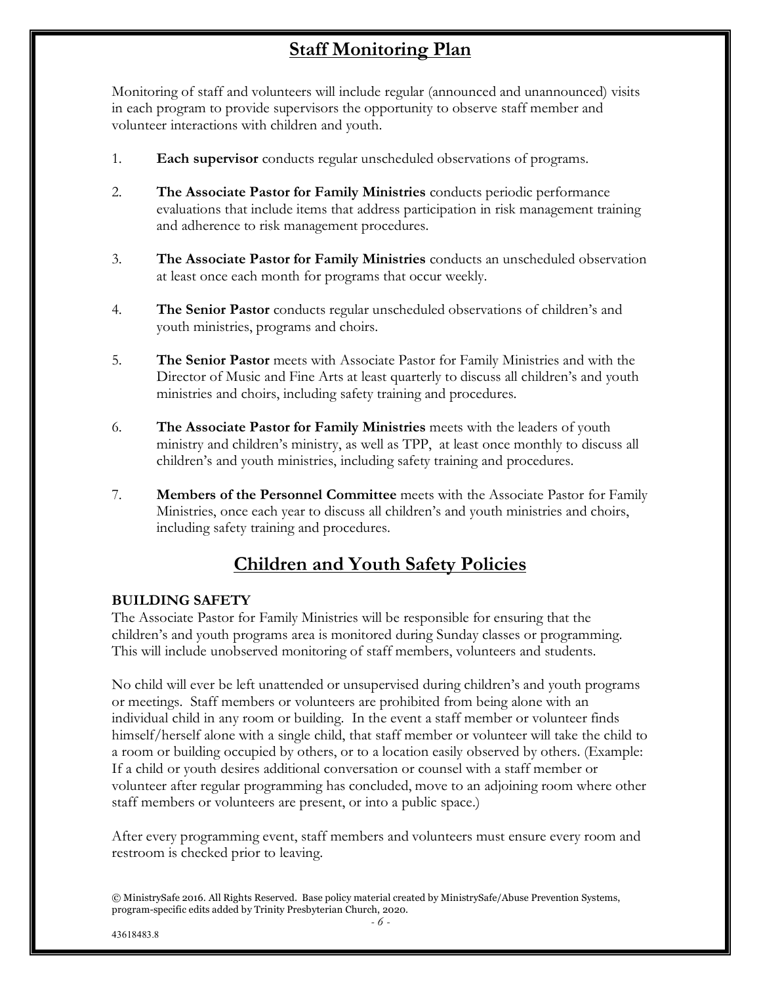## **Staff Monitoring Plan**

Monitoring of staff and volunteers will include regular (announced and unannounced) visits in each program to provide supervisors the opportunity to observe staff member and volunteer interactions with children and youth.

- 1. **Each supervisor** conducts regular unscheduled observations of programs.
- 2. **The Associate Pastor for Family Ministries** conducts periodic performance evaluations that include items that address participation in risk management training and adherence to risk management procedures.
- 3. **The Associate Pastor for Family Ministries** conducts an unscheduled observation at least once each month for programs that occur weekly.
- 4. **The Senior Pastor** conducts regular unscheduled observations of children's and youth ministries, programs and choirs.
- 5. **The Senior Pastor** meets with Associate Pastor for Family Ministries and with the Director of Music and Fine Arts at least quarterly to discuss all children's and youth ministries and choirs, including safety training and procedures.
- 6. **The Associate Pastor for Family Ministries** meets with the leaders of youth ministry and children's ministry, as well as TPP, at least once monthly to discuss all children's and youth ministries, including safety training and procedures.
- 7. **Members of the Personnel Committee** meets with the Associate Pastor for Family Ministries, once each year to discuss all children's and youth ministries and choirs, including safety training and procedures.

### **Children and Youth Safety Policies**

#### **BUILDING SAFETY**

The Associate Pastor for Family Ministries will be responsible for ensuring that the children's and youth programs area is monitored during Sunday classes or programming. This will include unobserved monitoring of staff members, volunteers and students.

No child will ever be left unattended or unsupervised during children's and youth programs or meetings. Staff members or volunteers are prohibited from being alone with an individual child in any room or building. In the event a staff member or volunteer finds himself/herself alone with a single child, that staff member or volunteer will take the child to a room or building occupied by others, or to a location easily observed by others. (Example: If a child or youth desires additional conversation or counsel with a staff member or volunteer after regular programming has concluded, move to an adjoining room where other staff members or volunteers are present, or into a public space.)

After every programming event, staff members and volunteers must ensure every room and restroom is checked prior to leaving.

<sup>©</sup> MinistrySafe 2016. All Rights Reserved. Base policy material created by MinistrySafe/Abuse Prevention Systems, program-specific edits added by Trinity Presbyterian Church, 2020.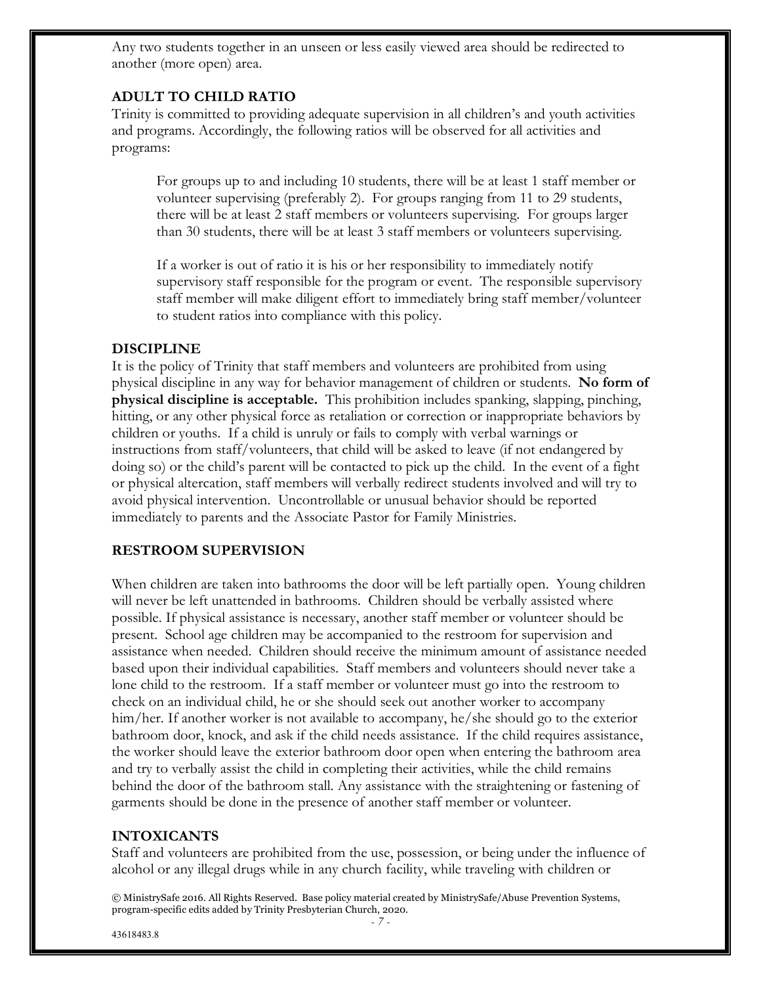Any two students together in an unseen or less easily viewed area should be redirected to another (more open) area.

#### **ADULT TO CHILD RATIO**

Trinity is committed to providing adequate supervision in all children's and youth activities and programs. Accordingly, the following ratios will be observed for all activities and programs:

For groups up to and including 10 students, there will be at least 1 staff member or volunteer supervising (preferably 2). For groups ranging from 11 to 29 students, there will be at least 2 staff members or volunteers supervising. For groups larger than 30 students, there will be at least 3 staff members or volunteers supervising.

If a worker is out of ratio it is his or her responsibility to immediately notify supervisory staff responsible for the program or event. The responsible supervisory staff member will make diligent effort to immediately bring staff member/volunteer to student ratios into compliance with this policy.

#### **DISCIPLINE**

It is the policy of Trinity that staff members and volunteers are prohibited from using physical discipline in any way for behavior management of children or students. **No form of physical discipline is acceptable.** This prohibition includes spanking, slapping, pinching, hitting, or any other physical force as retaliation or correction or inappropriate behaviors by children or youths. If a child is unruly or fails to comply with verbal warnings or instructions from staff/volunteers, that child will be asked to leave (if not endangered by doing so) or the child's parent will be contacted to pick up the child. In the event of a fight or physical altercation, staff members will verbally redirect students involved and will try to avoid physical intervention. Uncontrollable or unusual behavior should be reported immediately to parents and the Associate Pastor for Family Ministries.

#### **RESTROOM SUPERVISION**

When children are taken into bathrooms the door will be left partially open. Young children will never be left unattended in bathrooms. Children should be verbally assisted where possible. If physical assistance is necessary, another staff member or volunteer should be present. School age children may be accompanied to the restroom for supervision and assistance when needed. Children should receive the minimum amount of assistance needed based upon their individual capabilities. Staff members and volunteers should never take a lone child to the restroom. If a staff member or volunteer must go into the restroom to check on an individual child, he or she should seek out another worker to accompany him/her. If another worker is not available to accompany, he/she should go to the exterior bathroom door, knock, and ask if the child needs assistance. If the child requires assistance, the worker should leave the exterior bathroom door open when entering the bathroom area and try to verbally assist the child in completing their activities, while the child remains behind the door of the bathroom stall. Any assistance with the straightening or fastening of garments should be done in the presence of another staff member or volunteer.

#### **INTOXICANTS**

Staff and volunteers are prohibited from the use, possession, or being under the influence of alcohol or any illegal drugs while in any church facility, while traveling with children or

© MinistrySafe 2016. All Rights Reserved. Base policy material created by MinistrySafe/Abuse Prevention Systems, program-specific edits added by Trinity Presbyterian Church, 2020.

43618483.8

*- 7 -*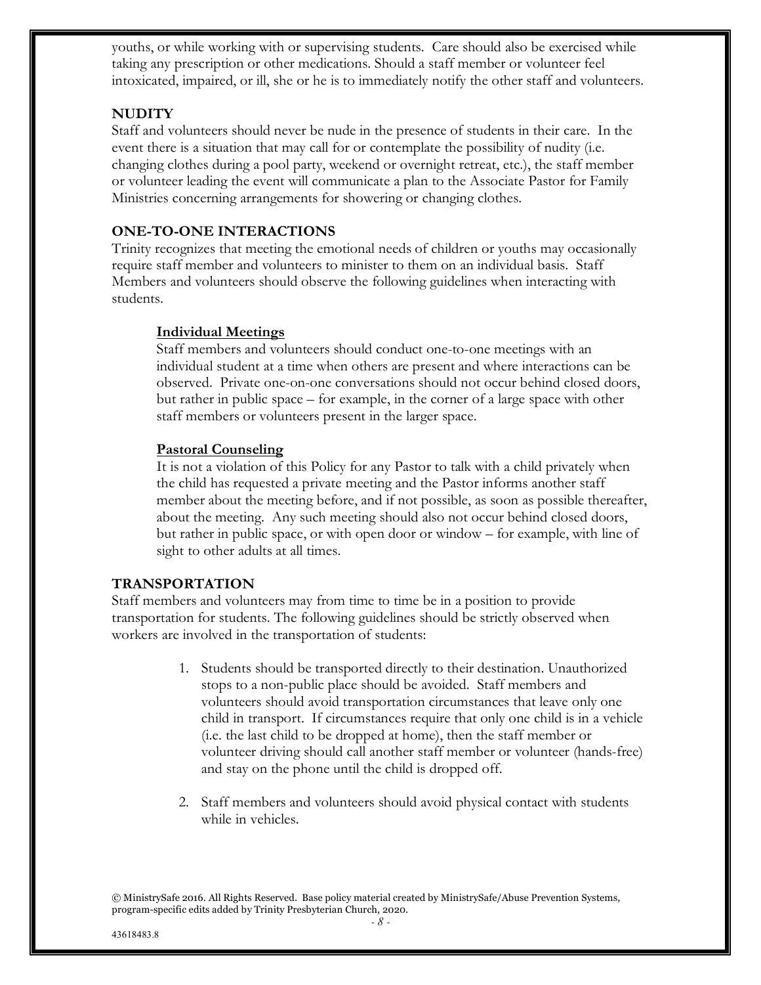youths, or while working with or supervising students. Care should also be exercised while taking any prescription or other medications. Should a staff member or volunteer feel intoxicated, impaired, or ill, she or he is to immediately notify the other staff and volunteers.

#### **NUDITY**

Staff and volunteers should never be nude in the presence of students in their care. In the event there is a situation that may call for or contemplate the possibility of nudity (i.e. changing clothes during a pool party, weekend or overnight retreat, etc.), the staff member or volunteer leading the event will communicate a plan to the Associate Pastor for Family Ministries concerning arrangements for showering or changing clothes.

#### **ONE-TO-ONE INTERACTIONS**

Trinity recognizes that meeting the emotional needs of children or youths may occasionally require staff member and volunteers to minister to them on an individual basis. Staff Members and volunteers should observe the following guidelines when interacting with students.

#### **Individual Meetings**

Staff members and volunteers should conduct one-to-one meetings with an individual student at a time when others are present and where interactions can be observed. Private one-on-one conversations should not occur behind closed doors, but rather in public space – for example, in the corner of a large space with other staff members or volunteers present in the larger space.

#### **Pastoral Counseling**

It is not a violation of this Policy for any Pastor to talk with a child privately when the child has requested a private meeting and the Pastor informs another staff member about the meeting before, and if not possible, as soon as possible thereafter, about the meeting. Any such meeting should also not occur behind closed doors, but rather in public space, or with open door or window – for example, with line of sight to other adults at all times.

#### **TRANSPORTATION**

Staff members and volunteers may from time to time be in a position to provide transportation for students. The following guidelines should be strictly observed when workers are involved in the transportation of students:

- 1. Students should be transported directly to their destination. Unauthorized stops to a non-public place should be avoided. Staff members and volunteers should avoid transportation circumstances that leave only one child in transport. If circumstances require that only one child is in a vehicle (i.e. the last child to be dropped at home), then the staff member or volunteer driving should call another staff member or volunteer (hands-free) and stay on the phone until the child is dropped off.
- 2. Staff members and volunteers should avoid physical contact with students while in vehicles.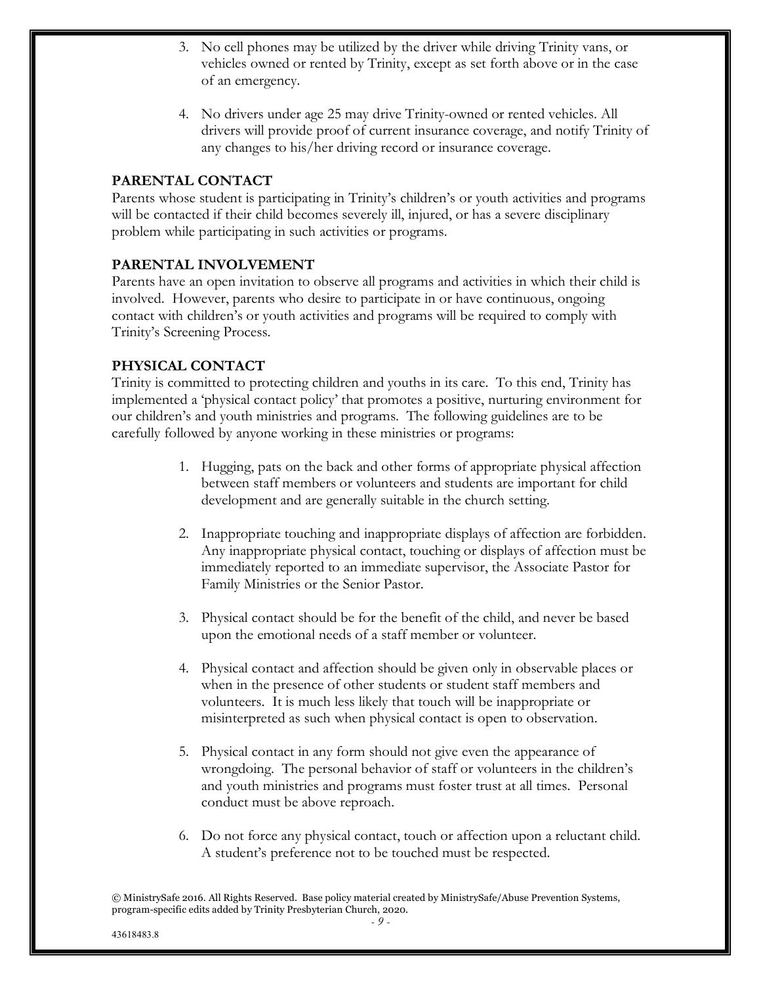- 3. No cell phones may be utilized by the driver while driving Trinity vans, or vehicles owned or rented by Trinity, except as set forth above or in the case of an emergency.
- 4. No drivers under age 25 may drive Trinity-owned or rented vehicles. All drivers will provide proof of current insurance coverage, and notify Trinity of any changes to his/her driving record or insurance coverage.

#### **PARENTAL CONTACT**

Parents whose student is participating in Trinity's children's or youth activities and programs will be contacted if their child becomes severely ill, injured, or has a severe disciplinary problem while participating in such activities or programs.

#### **PARENTAL INVOLVEMENT**

Parents have an open invitation to observe all programs and activities in which their child is involved. However, parents who desire to participate in or have continuous, ongoing contact with children's or youth activities and programs will be required to comply with Trinity's Screening Process.

#### **PHYSICAL CONTACT**

Trinity is committed to protecting children and youths in its care. To this end, Trinity has implemented a 'physical contact policy' that promotes a positive, nurturing environment for our children's and youth ministries and programs. The following guidelines are to be carefully followed by anyone working in these ministries or programs:

- 1. Hugging, pats on the back and other forms of appropriate physical affection between staff members or volunteers and students are important for child development and are generally suitable in the church setting.
- 2. Inappropriate touching and inappropriate displays of affection are forbidden. Any inappropriate physical contact, touching or displays of affection must be immediately reported to an immediate supervisor, the Associate Pastor for Family Ministries or the Senior Pastor.
- 3. Physical contact should be for the benefit of the child, and never be based upon the emotional needs of a staff member or volunteer.
- 4. Physical contact and affection should be given only in observable places or when in the presence of other students or student staff members and volunteers. It is much less likely that touch will be inappropriate or misinterpreted as such when physical contact is open to observation.
- 5. Physical contact in any form should not give even the appearance of wrongdoing. The personal behavior of staff or volunteers in the children's and youth ministries and programs must foster trust at all times. Personal conduct must be above reproach.
- 6. Do not force any physical contact, touch or affection upon a reluctant child. A student's preference not to be touched must be respected.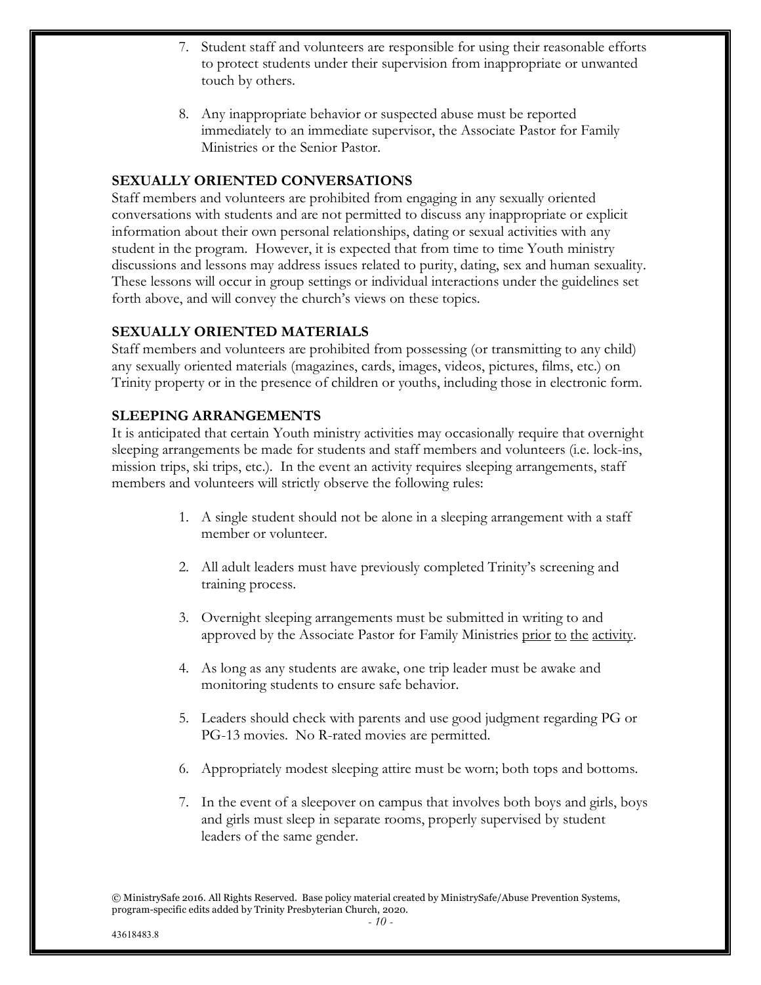- 7. Student staff and volunteers are responsible for using their reasonable efforts to protect students under their supervision from inappropriate or unwanted touch by others.
- 8. Any inappropriate behavior or suspected abuse must be reported immediately to an immediate supervisor, the Associate Pastor for Family Ministries or the Senior Pastor.

#### **SEXUALLY ORIENTED CONVERSATIONS**

Staff members and volunteers are prohibited from engaging in any sexually oriented conversations with students and are not permitted to discuss any inappropriate or explicit information about their own personal relationships, dating or sexual activities with any student in the program. However, it is expected that from time to time Youth ministry discussions and lessons may address issues related to purity, dating, sex and human sexuality. These lessons will occur in group settings or individual interactions under the guidelines set forth above, and will convey the church's views on these topics.

#### **SEXUALLY ORIENTED MATERIALS**

Staff members and volunteers are prohibited from possessing (or transmitting to any child) any sexually oriented materials (magazines, cards, images, videos, pictures, films, etc.) on Trinity property or in the presence of children or youths, including those in electronic form.

#### **SLEEPING ARRANGEMENTS**

It is anticipated that certain Youth ministry activities may occasionally require that overnight sleeping arrangements be made for students and staff members and volunteers (i.e. lock-ins, mission trips, ski trips, etc.). In the event an activity requires sleeping arrangements, staff members and volunteers will strictly observe the following rules:

- 1. A single student should not be alone in a sleeping arrangement with a staff member or volunteer.
- 2. All adult leaders must have previously completed Trinity's screening and training process.
- 3. Overnight sleeping arrangements must be submitted in writing to and approved by the Associate Pastor for Family Ministries prior to the activity.
- 4. As long as any students are awake, one trip leader must be awake and monitoring students to ensure safe behavior.
- 5. Leaders should check with parents and use good judgment regarding PG or PG-13 movies. No R-rated movies are permitted.
- 6. Appropriately modest sleeping attire must be worn; both tops and bottoms.
- 7. In the event of a sleepover on campus that involves both boys and girls, boys and girls must sleep in separate rooms, properly supervised by student leaders of the same gender.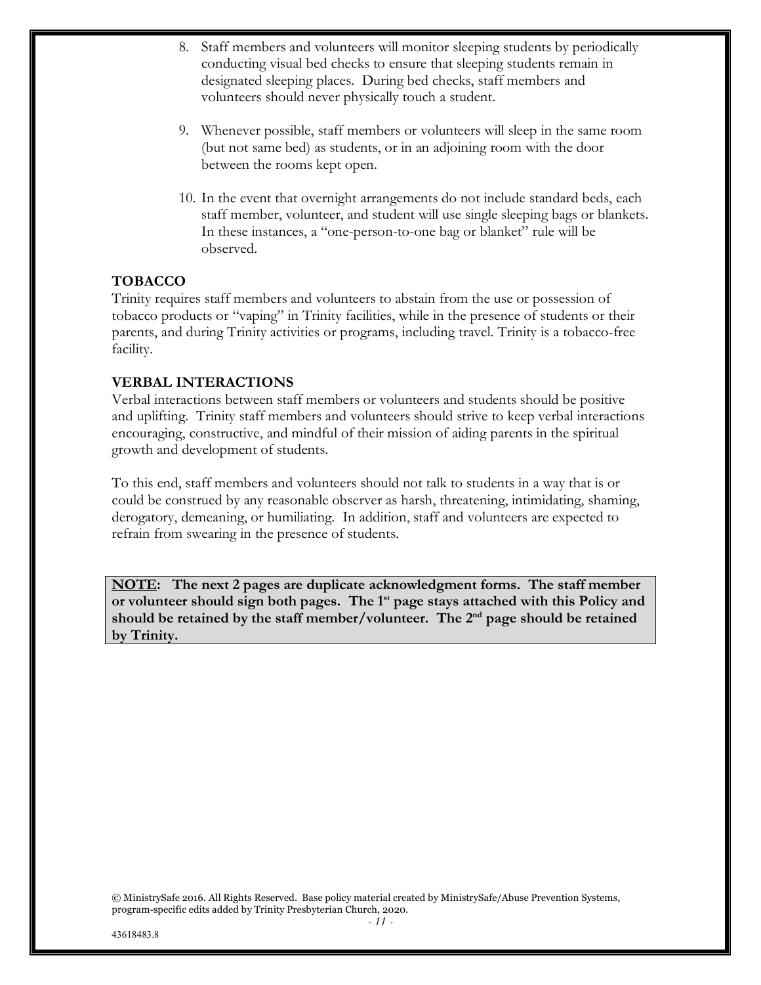- 8. Staff members and volunteers will monitor sleeping students by periodically conducting visual bed checks to ensure that sleeping students remain in designated sleeping places. During bed checks, staff members and volunteers should never physically touch a student.
- 9. Whenever possible, staff members or volunteers will sleep in the same room (but not same bed) as students, or in an adjoining room with the door between the rooms kept open.
- 10. In the event that overnight arrangements do not include standard beds, each staff member, volunteer, and student will use single sleeping bags or blankets. In these instances, a "one-person-to-one bag or blanket" rule will be observed.

#### **TOBACCO**

Trinity requires staff members and volunteers to abstain from the use or possession of tobacco products or "vaping" in Trinity facilities, while in the presence of students or their parents, and during Trinity activities or programs, including travel. Trinity is a tobacco-free facility.

#### **VERBAL INTERACTIONS**

Verbal interactions between staff members or volunteers and students should be positive and uplifting. Trinity staff members and volunteers should strive to keep verbal interactions encouraging, constructive, and mindful of their mission of aiding parents in the spiritual growth and development of students.

To this end, staff members and volunteers should not talk to students in a way that is or could be construed by any reasonable observer as harsh, threatening, intimidating, shaming, derogatory, demeaning, or humiliating. In addition, staff and volunteers are expected to refrain from swearing in the presence of students.

**NOTE: The next 2 pages are duplicate acknowledgment forms. The staff member**  or volunteer should sign both pages. The 1<sup>st</sup> page stays attached with this Policy and **should be retained by the staff member/volunteer. The 2nd page should be retained by Trinity.**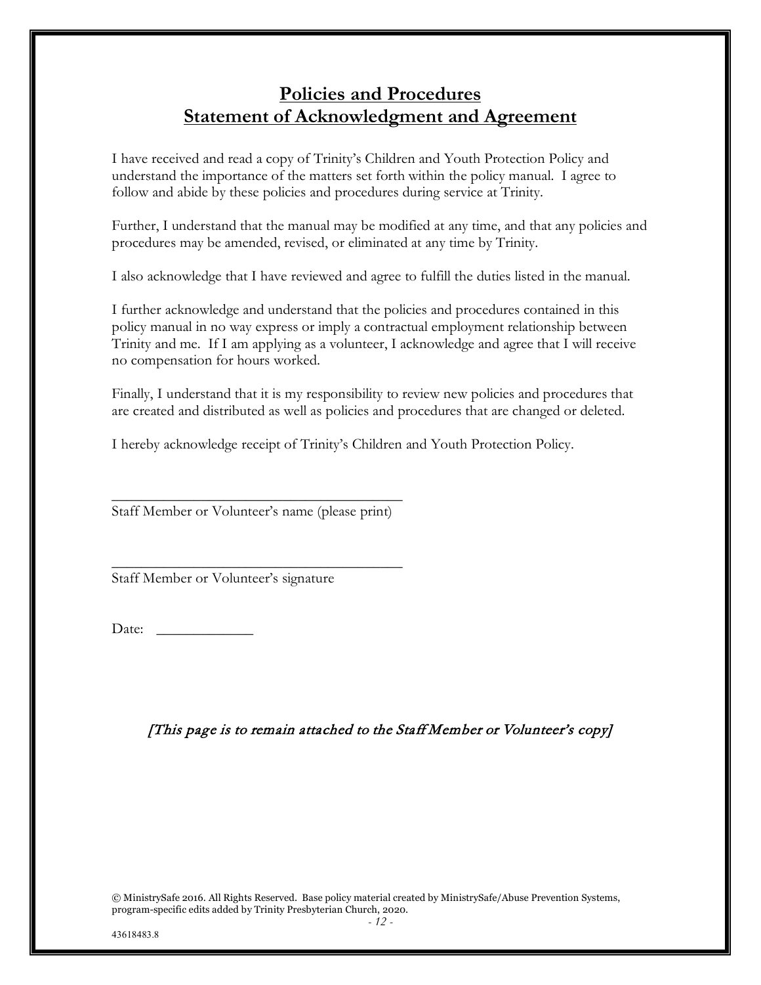### **Policies and Procedures Statement of Acknowledgment and Agreement**

I have received and read a copy of Trinity's Children and Youth Protection Policy and understand the importance of the matters set forth within the policy manual. I agree to follow and abide by these policies and procedures during service at Trinity.

Further, I understand that the manual may be modified at any time, and that any policies and procedures may be amended, revised, or eliminated at any time by Trinity.

I also acknowledge that I have reviewed and agree to fulfill the duties listed in the manual.

I further acknowledge and understand that the policies and procedures contained in this policy manual in no way express or imply a contractual employment relationship between Trinity and me. If I am applying as a volunteer, I acknowledge and agree that I will receive no compensation for hours worked.

Finally, I understand that it is my responsibility to review new policies and procedures that are created and distributed as well as policies and procedures that are changed or deleted.

I hereby acknowledge receipt of Trinity's Children and Youth Protection Policy.

 $\frac{1}{2}$  ,  $\frac{1}{2}$  ,  $\frac{1}{2}$  ,  $\frac{1}{2}$  ,  $\frac{1}{2}$  ,  $\frac{1}{2}$  ,  $\frac{1}{2}$  ,  $\frac{1}{2}$  ,  $\frac{1}{2}$  ,  $\frac{1}{2}$  ,  $\frac{1}{2}$  ,  $\frac{1}{2}$  ,  $\frac{1}{2}$  ,  $\frac{1}{2}$  ,  $\frac{1}{2}$  ,  $\frac{1}{2}$  ,  $\frac{1}{2}$  ,  $\frac{1}{2}$  ,  $\frac{1$ Staff Member or Volunteer's name (please print)

 $\frac{1}{2}$  ,  $\frac{1}{2}$  ,  $\frac{1}{2}$  ,  $\frac{1}{2}$  ,  $\frac{1}{2}$  ,  $\frac{1}{2}$  ,  $\frac{1}{2}$  ,  $\frac{1}{2}$  ,  $\frac{1}{2}$  ,  $\frac{1}{2}$  ,  $\frac{1}{2}$  ,  $\frac{1}{2}$  ,  $\frac{1}{2}$  ,  $\frac{1}{2}$  ,  $\frac{1}{2}$  ,  $\frac{1}{2}$  ,  $\frac{1}{2}$  ,  $\frac{1}{2}$  ,  $\frac{1$ 

Staff Member or Volunteer's signature

Date:

[This page is to remain attached to the Staff Member or Volunteer's copy]